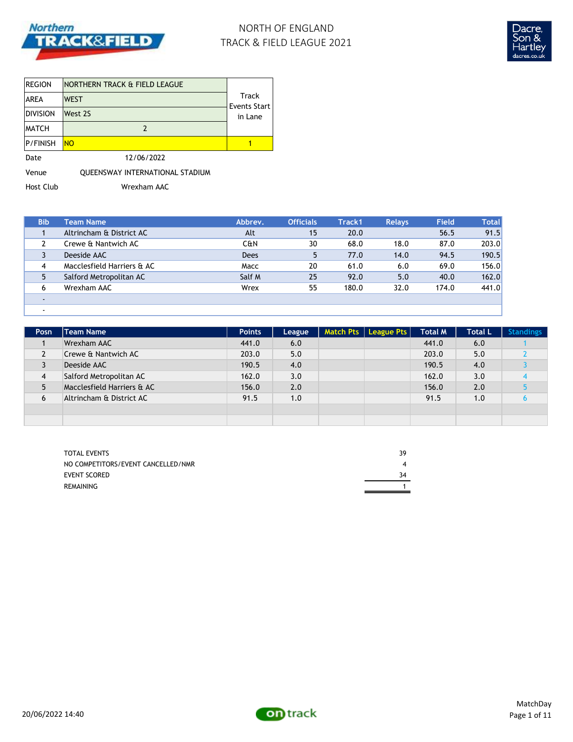

# NORTH OF ENGLAND TRACK & FIELD LEAGUE 2021



| REGION       | NORTHERN TRACK & FIELD LEAGUE   |                              |
|--------------|---------------------------------|------------------------------|
| IAREA        | <b>WEST</b>                     | Track<br><b>Events Start</b> |
| Division     | West 2S                         | in Lane                      |
| <b>MATCH</b> | 2                               |                              |
| P/FINISH     | <b>NO</b>                       |                              |
| Date         | 12/06/2022                      |                              |
| Venue        | QUEENSWAY INTERNATIONAL STADIUM |                              |

Host Club Wrexham AAC

| <b>Bib</b> | Team Name                  | Abbrev. | <b>Officials</b> | Track1 | <b>Relays</b> | <b>Field</b> | <b>Total</b> |
|------------|----------------------------|---------|------------------|--------|---------------|--------------|--------------|
|            | Altrincham & District AC   | Alt     | 15               | 20.0   |               | 56.5         | 91.5         |
|            | Crewe & Nantwich AC        | C&N     | 30               | 68.0   | 18.0          | 87.0         | 203.0        |
|            | Deeside AAC                | Dees    |                  | 77.0   | 14.0          | 94.5         | 190.5        |
| 4          | Macclesfield Harriers & AC | Macc    | 20               | 61.0   | 6.0           | 69.0         | 156.0        |
| 5          | Salford Metropolitan AC    | Salf M  | 25               | 92.0   | 5.0           | 40.0         | 162.0        |
| 6          | Wrexham AAC                | Wrex    | 55               | 180.0  | 32.0          | 174.0        | 441.0        |
|            |                            |         |                  |        |               |              |              |
|            |                            |         |                  |        |               |              |              |

| Posn | Team Name                  | <b>Points</b> | League | Match Pts   League Pts | <b>Total M</b> | <b>Total L</b> | <b>Standings</b> |
|------|----------------------------|---------------|--------|------------------------|----------------|----------------|------------------|
|      | Wrexham AAC                | 441.0         | 6.0    |                        | 441.0          | 6.0            |                  |
| 2    | Crewe & Nantwich AC        | 203.0         | 5.0    |                        | 203.0          | 5.0            |                  |
| 3    | Deeside AAC                | 190.5         | 4.0    |                        | 190.5          | 4.0            |                  |
| 4    | Salford Metropolitan AC    | 162.0         | 3.0    |                        | 162.0          | 3.0            |                  |
| 5    | Macclesfield Harriers & AC | 156.0         | 2.0    |                        | 156.0          | 2.0            |                  |
| 6    | Altrincham & District AC   | 91.5          | 1.0    |                        | 91.5           | 1.0            |                  |
|      |                            |               |        |                        |                |                |                  |
|      |                            |               |        |                        |                |                |                  |

| <b>TOTAL EVENTS</b>                | 39 |
|------------------------------------|----|
| NO COMPETITORS/EVENT CANCELLED/NMR |    |
| <b>EVENT SCORED</b>                | 34 |
| REMAINING                          |    |

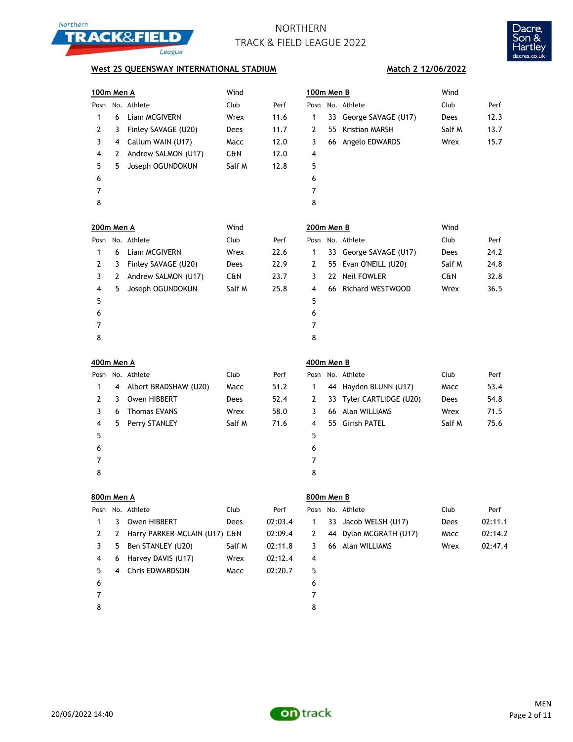



**Match 2 12/06/2022**

### **West 2S QUEENSWAY INTERNATIONAL STADIUM**

| 100m Men A        |   |                               | Wind   |         | 100m Men B     |    |                          | Wind   |         |
|-------------------|---|-------------------------------|--------|---------|----------------|----|--------------------------|--------|---------|
|                   |   | Posn No. Athlete              | Club   | Perf    |                |    | Posn No. Athlete         | Club   | Perf    |
| 1                 | 6 | Liam MCGIVERN                 | Wrex   | 11.6    | 1              |    | 33 George SAVAGE (U17)   | Dees   | 12.3    |
| 2                 | 3 | Finley SAVAGE (U20)           | Dees   | 11.7    | 2              | 55 | Kristian MARSH           | Salf M | 13.7    |
| 3                 | 4 | Callum WAIN (U17)             | Macc   | 12.0    | 3              |    | 66 Angelo EDWARDS        | Wrex   | 15.7    |
| 4                 | 2 | Andrew SALMON (U17)           | C&N    | 12.0    | 4              |    |                          |        |         |
| 5                 | 5 | Joseph OGUNDOKUN              | Salf M | 12.8    | 5              |    |                          |        |         |
| 6                 |   |                               |        |         | 6              |    |                          |        |         |
| 7                 |   |                               |        |         | $\overline{7}$ |    |                          |        |         |
| 8                 |   |                               |        |         | 8              |    |                          |        |         |
| <b>200m Men A</b> |   |                               | Wind   |         | 200m Men B     |    |                          | Wind   |         |
|                   |   | Posn No. Athlete              | Club   | Perf    |                |    | Posn No. Athlete         | Club   | Perf    |
| 1                 | 6 | Liam MCGIVERN                 | Wrex   | 22.6    | 1              |    | 33 George SAVAGE (U17)   | Dees   | 24.2    |
| 2                 | 3 | Finley SAVAGE (U20)           | Dees   | 22.9    | 2              |    | 55 Evan O'NEILL (U20)    | Salf M | 24.8    |
| 3                 | 2 | Andrew SALMON (U17)           | C&N    | 23.7    | 3              |    | 22 Neil FOWLER           | C&N    | 32.8    |
| 4                 | 5 | Joseph OGUNDOKUN              | Salf M | 25.8    | 4              |    | 66 Richard WESTWOOD      | Wrex   | 36.5    |
| 5                 |   |                               |        |         | 5              |    |                          |        |         |
| 6                 |   |                               |        |         | 6              |    |                          |        |         |
| 7                 |   |                               |        |         | $\overline{7}$ |    |                          |        |         |
| 8                 |   |                               |        |         | 8              |    |                          |        |         |
| <b>400m Men A</b> |   |                               |        |         | 400m Men B     |    |                          |        |         |
|                   |   | Posn No. Athlete              | Club   | Perf    |                |    | Posn No. Athlete         | Club   | Perf    |
| 1                 | 4 | Albert BRADSHAW (U20)         | Macc   | 51.2    | 1              |    | 44 Hayden BLUNN (U17)    | Macc   | 53.4    |
| 2                 | 3 | Owen HIBBERT                  | Dees   | 52.4    | 2              |    | 33 Tyler CARTLIDGE (U20) | Dees   | 54.8    |
| 3                 | 6 | <b>Thomas EVANS</b>           | Wrex   | 58.0    | 3              |    | 66 Alan WILLIAMS         | Wrex   | 71.5    |
| 4                 | 5 | Perry STANLEY                 | Salf M | 71.6    | 4              |    | 55 Girish PATEL          | Salf M | 75.6    |
| 5                 |   |                               |        |         | 5              |    |                          |        |         |
| 6                 |   |                               |        |         | 6              |    |                          |        |         |
| 7                 |   |                               |        |         | 7              |    |                          |        |         |
| 8                 |   |                               |        |         | 8              |    |                          |        |         |
| 800m Men A        |   |                               |        |         | 800m Men B     |    |                          |        |         |
| Posn              |   | No. Athlete                   | Club   | Perf    | Posn           |    | No. Athlete              | Club   | Perf    |
| $\mathbf{1}$      | 3 | Owen HIBBERT                  | Dees   | 02:03.4 | $\mathbf{1}$   |    | 33 Jacob WELSH (U17)     | Dees   | 02:11.1 |
| 2                 | 2 | Harry PARKER-MCLAIN (U17) C&N |        | 02:09.4 | 2              |    | 44 Dylan MCGRATH (U17)   | Macc   | 02:14.2 |
| 3                 | 5 | Ben STANLEY (U20)             | Salf M | 02:11.8 | 3              |    | 66 Alan WILLIAMS         | Wrex   | 02:47.4 |
| 4                 | 6 | Harvey DAVIS (U17)            | Wrex   | 02:12.4 | 4              |    |                          |        |         |
| 5                 | 4 | Chris EDWARDSON               | Macc   | 02:20.7 | 5              |    |                          |        |         |
| 6                 |   |                               |        |         | 6              |    |                          |        |         |
| $\overline{7}$    |   |                               |        |         | $\overline{7}$ |    |                          |        |         |

8

20/06/2022 14:40

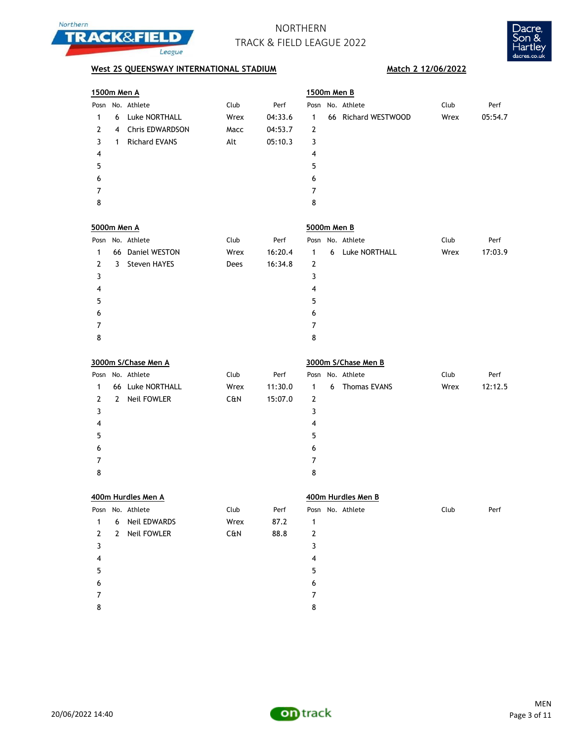



| 1500m Men A         |              |                      |      |         | 1500m Men B         |   |                     |      |         |
|---------------------|--------------|----------------------|------|---------|---------------------|---|---------------------|------|---------|
|                     |              | Posn No. Athlete     | Club | Perf    |                     |   | Posn No. Athlete    | Club | Perf    |
| 1                   | 6            | Luke NORTHALL        | Wrex | 04:33.6 | 1                   |   | 66 Richard WESTWOOD | Wrex | 05:54.7 |
| $\overline{2}$      | 4            | Chris EDWARDSON      | Macc | 04:53.7 | $\overline{2}$      |   |                     |      |         |
| 3                   | $\mathbf{1}$ | <b>Richard EVANS</b> | Alt  | 05:10.3 | 3                   |   |                     |      |         |
| 4                   |              |                      |      |         | 4                   |   |                     |      |         |
| 5                   |              |                      |      |         | 5                   |   |                     |      |         |
| 6                   |              |                      |      |         | 6                   |   |                     |      |         |
| 7                   |              |                      |      |         | $\overline{7}$      |   |                     |      |         |
| 8                   |              |                      |      |         | 8                   |   |                     |      |         |
| 5000m Men A         |              |                      |      |         | 5000m Men B         |   |                     |      |         |
| Posn                |              | No. Athlete          | Club | Perf    |                     |   | Posn No. Athlete    | Club | Perf    |
| 1                   |              | 66 Daniel WESTON     | Wrex | 16:20.4 | $\mathbf{1}$        | 6 | Luke NORTHALL       | Wrex | 17:03.9 |
| $\mathbf{2}$        | 3            | Steven HAYES         | Dees | 16:34.8 | $\mathbf{2}$        |   |                     |      |         |
| 3                   |              |                      |      |         | 3                   |   |                     |      |         |
| 4                   |              |                      |      |         | $\pmb{4}$           |   |                     |      |         |
| 5                   |              |                      |      |         | 5                   |   |                     |      |         |
| 6                   |              |                      |      |         | 6                   |   |                     |      |         |
| 7                   |              |                      |      |         | $\overline{7}$      |   |                     |      |         |
| 8                   |              |                      |      |         | 8                   |   |                     |      |         |
| 3000m S/Chase Men A |              |                      |      |         | 3000m S/Chase Men B |   |                     |      |         |
|                     |              |                      |      |         |                     |   |                     |      |         |
| Posn                |              | No. Athlete          | Club | Perf    | Posn                |   | No. Athlete         | Club | Perf    |
| 1                   |              | 66 Luke NORTHALL     | Wrex | 11:30.0 | $\mathbf{1}$        | 6 | <b>Thomas EVANS</b> | Wrex | 12:12.5 |
| $\mathbf{2}$        | $\mathbf{2}$ | Neil FOWLER          | C&N  | 15:07.0 | $\overline{2}$      |   |                     |      |         |
| 3                   |              |                      |      |         | 3                   |   |                     |      |         |
| 4                   |              |                      |      |         | 4                   |   |                     |      |         |
| 5                   |              |                      |      |         | 5                   |   |                     |      |         |
| 6                   |              |                      |      |         | 6                   |   |                     |      |         |
| 7                   |              |                      |      |         | $\overline{7}$      |   |                     |      |         |
| 8                   |              |                      |      |         | 8                   |   |                     |      |         |
|                     |              | 400m Hurdles Men A   |      |         |                     |   | 400m Hurdles Men B  |      |         |
| Posn                |              | No. Athlete          | Club | Perf    |                     |   | Posn No. Athlete    | Club | Perf    |
| 1                   | 6            | Neil EDWARDS         | Wrex | 87.2    | 1                   |   |                     |      |         |
| 2                   | 2            | <b>Neil FOWLER</b>   | C&N  | 88.8    | $\overline{2}$      |   |                     |      |         |
| 3                   |              |                      |      |         | 3                   |   |                     |      |         |
| 4                   |              |                      |      |         | 4                   |   |                     |      |         |
| 5                   |              |                      |      |         | 5                   |   |                     |      |         |
| 6                   |              |                      |      |         | 6                   |   |                     |      |         |
| 7                   |              |                      |      |         | $\overline{7}$      |   |                     |      |         |

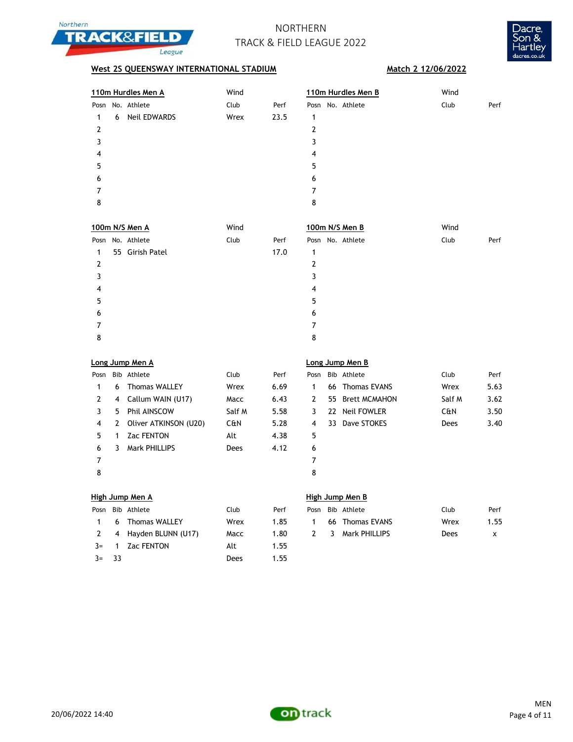



## **West 2S QUEENSWAY INTERNATIONAL STADIUM Match 2 12/06/2022**

|   | 110m Hurdles Men A |                     | Wind |      | 110m Hurdles Men B | Wind         |  |
|---|--------------------|---------------------|------|------|--------------------|--------------|--|
|   |                    | Posn No. Athlete    | Club | Perf | Posn No. Athlete   | Club<br>Perf |  |
|   | 6                  | <b>Neil EDWARDS</b> | Wrex | 23.5 | 1                  |              |  |
| 2 |                    |                     |      |      | 2                  |              |  |
| 3 |                    |                     |      |      | 3                  |              |  |
| 4 |                    |                     |      |      | 4                  |              |  |
| 5 |                    |                     |      |      | 5                  |              |  |
| 6 |                    |                     |      |      | 6                  |              |  |
|   |                    |                     |      |      | 7                  |              |  |
| 8 |                    |                     |      |      | 8                  |              |  |
|   |                    |                     |      |      |                    |              |  |

|   | 100m N/S Men A   | Wind |      |   | 100m N/S Men B   | Wind |      |
|---|------------------|------|------|---|------------------|------|------|
|   | Posn No. Athlete | Club | Perf |   | Posn No. Athlete | Club | Perf |
| 1 | 55 Girish Patel  |      | 17.0 | 1 |                  |      |      |
| 2 |                  |      |      | 2 |                  |      |      |
| 3 |                  |      |      | 3 |                  |      |      |
| 4 |                  |      |      | 4 |                  |      |      |
| 5 |                  |      |      | 5 |                  |      |      |
| 6 |                  |      |      | 6 |                  |      |      |
|   |                  |      |      | 7 |                  |      |      |
| 8 |                  |      |      | 8 |                  |      |      |

|      |    | Long Jump Men A         |        |      | اO. |
|------|----|-------------------------|--------|------|-----|
| Posn |    | Bib Athlete             | Club   | Perf | Pos |
| 1    | 6  | <b>Thomas WALLEY</b>    | Wrex   | 6.69 | 1   |
| 2    | 4  | Callum WAIN (U17)       | Macc   | 6.43 | 2   |
| 3    | 5. | Phil AINSCOW            | Salf M | 5.58 | 3   |
| 4    |    | 2 Oliver ATKINSON (U20) | C&N    | 5.28 | 4   |
| 5    | 1  | <b>Zac FENTON</b>       | Alt    | 4.38 | 5   |
| 6    | 3  | <b>Mark PHILLIPS</b>    | Dees   | 4.12 | 6   |
| 7    |    |                         |        |      | 7   |
| 8    |    |                         |        |      | 8   |

### **Long Jump Men A Long Jump Men B**

| Posn |   | Bib Athlete           | Club   | Perf | Posn | Bib Athlete      | Club   | Perf |
|------|---|-----------------------|--------|------|------|------------------|--------|------|
|      | 6 | <b>Thomas WALLEY</b>  | Wrex   | 6.69 |      | 66 Thomas EVANS  | Wrex   | 5.63 |
| 2    |   | 4 Callum WAIN (U17)   | Macc   | 6.43 | 2    | 55 Brett MCMAHON | Salf M | 3.62 |
|      | 5 | Phil AINSCOW          | Salf M | 5.58 | 3.   | 22 Neil FOWLER   | C&N    | 3.50 |
| 4    | 2 | Oliver ATKINSON (U20) | C&N    | 5.28 | 4    | 33 Dave STOKES   | Dees   | 3.40 |
| 5.   |   | <b>Zac FENTON</b>     | Alt    | 4.38 | 5    |                  |        |      |
| 6    | 3 | Mark PHILLIPS         | Dees   | 4.12 | 6    |                  |        |      |
|      |   |                       |        |      |      |                  |        |      |
| Ω    |   |                       |        |      | Ω    |                  |        |      |

### **High Jump Men A High Jump Men B**

| Posn         |      | Bib Athlete          | Club | Perf |
|--------------|------|----------------------|------|------|
|              |      | 6 Thomas WALLEY      | Wrex | 1.85 |
| <sup>2</sup> |      | 4 Hayden BLUNN (U17) | Macc | 1.80 |
| $3=$         |      | 1 Zac FENTON         | Alt  | 1.55 |
| $3=$         | - २२ |                      | Dees | 1.55 |

|  | Posn Bib Athlete       | Club | Perf |  | Posn Bib Athlete  | Club | Perf |
|--|------------------------|------|------|--|-------------------|------|------|
|  | 1 6 Thomas WALLEY      | Wrex | 1.85 |  | 66 Thomas EVANS   | Wrex | 1.55 |
|  | 2 4 Havden BLUNN (U17) | Macc | 1.80 |  | 2 3 Mark PHILLIPS | Dees |      |

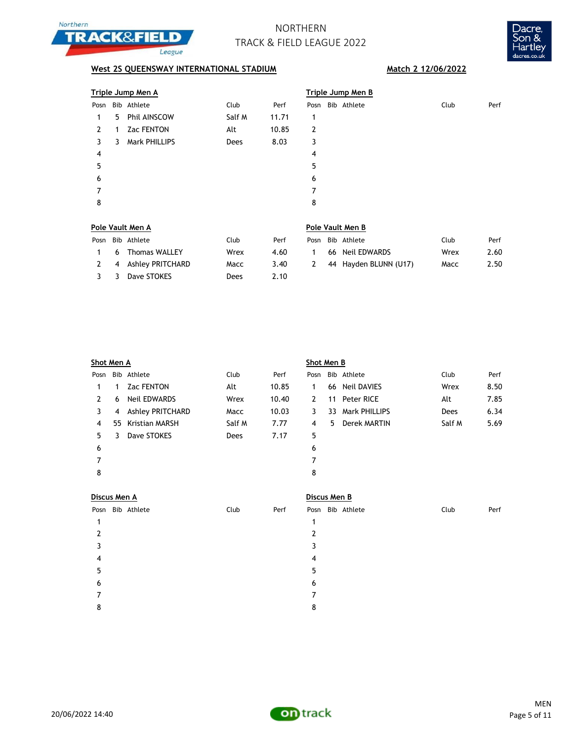



|      |   | <u>Triple Jump Men A</u> |        |       | Triple Jump Men B |                  |      |      |  |  |  |
|------|---|--------------------------|--------|-------|-------------------|------------------|------|------|--|--|--|
| Posn |   | Bib Athlete              | Club   | Perf  |                   | Posn Bib Athlete | Club | Perf |  |  |  |
| 1.   | 5 | Phil AINSCOW             | Salf M | 11.71 | 1                 |                  |      |      |  |  |  |
| 2    | 1 | <b>Zac FENTON</b>        | Alt    | 10.85 | 2                 |                  |      |      |  |  |  |
| 3    | 3 | Mark PHILLIPS            | Dees   | 8.03  | 3                 |                  |      |      |  |  |  |
| 4    |   |                          |        |       | 4                 |                  |      |      |  |  |  |
| 5    |   |                          |        |       | 5                 |                  |      |      |  |  |  |
| 6    |   |                          |        |       | 6                 |                  |      |      |  |  |  |
|      |   |                          |        |       | 7                 |                  |      |      |  |  |  |
| 8    |   |                          |        |       | 8                 |                  |      |      |  |  |  |
|      |   |                          |        |       |                   |                  |      |      |  |  |  |

| Pole Vault Men A |   |                      |      |      |      | Pole Vault Men B |                       |      |      |  |  |  |
|------------------|---|----------------------|------|------|------|------------------|-----------------------|------|------|--|--|--|
| Posn             |   | Bib Athlete          | Club | Perf | Posn |                  | Bib Athlete           | Club | Perf |  |  |  |
|                  | 6 | Thomas WALLEY        | Wrex | 4.60 |      |                  | 66 Neil EDWARDS       | Wrex | 2.60 |  |  |  |
|                  |   | 2 4 Ashley PRITCHARD | Macc | 3.40 | 2    |                  | 44 Hayden BLUNN (U17) | Macc | 2.50 |  |  |  |
|                  |   | Dave STOKES          | Dees | 2.10 |      |                  |                       |      |      |  |  |  |

| Shot Men A |    |                         |        |       | Shot Men B |    |                |        |      |  |
|------------|----|-------------------------|--------|-------|------------|----|----------------|--------|------|--|
| Posn       |    | Bib Athlete             | Club   | Perf  | Posn       |    | Bib Athlete    | Club   | Perf |  |
| 1          |    | <b>Zac FENTON</b>       | Alt    | 10.85 | 1          |    | 66 Neil DAVIES | Wrex   | 8.50 |  |
| 2          | 6  | Neil EDWARDS            | Wrex   | 10.40 | 2          |    | 11 Peter RICE  | Alt    | 7.85 |  |
| 3          | 4  | <b>Ashley PRITCHARD</b> | Macc   | 10.03 | 3          | 33 | Mark PHILLIPS  | Dees   | 6.34 |  |
| 4          | 55 | Kristian MARSH          | Salf M | 7.77  | 4          | 5. | Derek MARTIN   | Salf M | 5.69 |  |
| 5          | 3  | Dave STOKES             | Dees   | 7.17  | 5          |    |                |        |      |  |
| 6          |    |                         |        |       | 6          |    |                |        |      |  |
| 7          |    |                         |        |       | 7          |    |                |        |      |  |
| 8          |    |                         |        |       | 8          |    |                |        |      |  |
|            |    |                         |        |       |            |    |                |        |      |  |

| Discus Men A     |      |      | Discus Men B     |      |      |  |  |  |  |
|------------------|------|------|------------------|------|------|--|--|--|--|
| Posn Bib Athlete | Club | Perf | Posn Bib Athlete | Club | Perf |  |  |  |  |
| 1                |      | 1    |                  |      |      |  |  |  |  |
| 2                |      | 2    |                  |      |      |  |  |  |  |
| 3                |      | 3    |                  |      |      |  |  |  |  |
| 4                |      | 4    |                  |      |      |  |  |  |  |
| 5                |      | 5    |                  |      |      |  |  |  |  |
| 6                |      | 6    |                  |      |      |  |  |  |  |
| 7                |      |      |                  |      |      |  |  |  |  |
| 8                |      | 8    |                  |      |      |  |  |  |  |
|                  |      |      |                  |      |      |  |  |  |  |



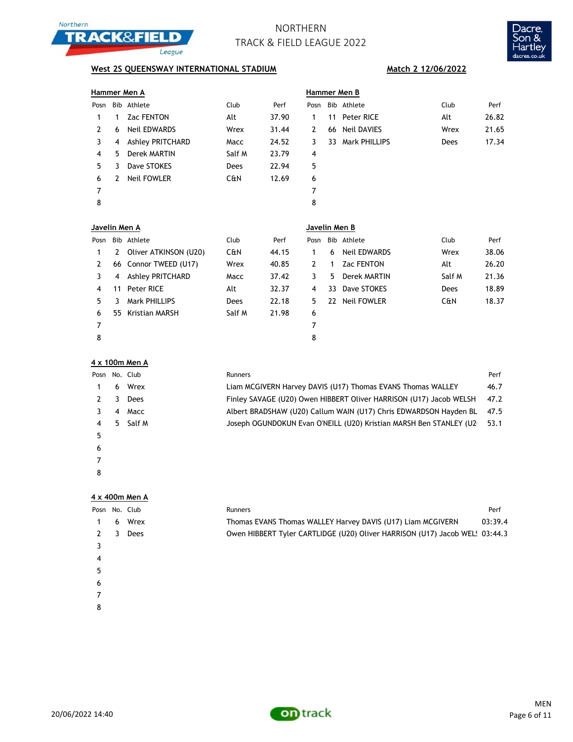



## **West 2S QUEENSWAY INTERNATIONAL STADIUM Match 2 12/06/2022**

| Hammer Men A  |            |                         |             |       |                |     | Hammer Men B      |             |       |  |  |  |
|---------------|------------|-------------------------|-------------|-------|----------------|-----|-------------------|-------------|-------|--|--|--|
| Posn          |            | Bib Athlete             | Club        | Perf  | Posn           |     | Bib Athlete       | Club        | Perf  |  |  |  |
| 1             | 1          | <b>Zac FENTON</b>       | Alt         | 37.90 | 1              | 11  | Peter RICE        | Alt         | 26.82 |  |  |  |
| 2             | 6          | <b>Neil EDWARDS</b>     | Wrex        | 31.44 | $\mathbf{2}$   | 66  | Neil DAVIES       | Wrex        | 21.65 |  |  |  |
| 3             | 4          | <b>Ashley PRITCHARD</b> | Macc        | 24.52 | 3              | 33  | Mark PHILLIPS     | <b>Dees</b> | 17.34 |  |  |  |
| 4             | 5.         | Derek MARTIN            | Salf M      | 23.79 | 4              |     |                   |             |       |  |  |  |
| 5             | 3          | Dave STOKES             | <b>Dees</b> | 22.94 | 5              |     |                   |             |       |  |  |  |
| 6             | 2          | <b>Neil FOWLER</b>      | C&N         | 12.69 | 6              |     |                   |             |       |  |  |  |
| 7             |            |                         |             |       | 7              |     |                   |             |       |  |  |  |
| 8             |            |                         |             |       | 8              |     |                   |             |       |  |  |  |
| Javelin Men A |            |                         |             |       | Javelin Men B  |     |                   |             |       |  |  |  |
| Posn          | <b>Bib</b> | Athlete                 | Club        | Perf  | Posn           | Bib | Athlete           | Club        | Perf  |  |  |  |
| 1             | 2          | Oliver ATKINSON (U20)   | C&N         | 44.15 | 1              | 6   | Neil EDWARDS      | Wrex        | 38.06 |  |  |  |
| 2             |            | 66 Connor TWEED (U17)   | Wrex        | 40.85 | $\overline{2}$ | 1.  | <b>Zac FENTON</b> | Alt         | 26.20 |  |  |  |
| 3             | 4          | <b>Ashley PRITCHARD</b> | Macc        | 37.42 | 3              | 5.  | Derek MARTIN      | Salf M      | 21.36 |  |  |  |

| $\overline{\mathbf{3}}$ |                         | 4 Ashley PRITCHARD | Macc   | 37.42 | 3 | 5 Derek MARTIN | Salf M | 21.36 |
|-------------------------|-------------------------|--------------------|--------|-------|---|----------------|--------|-------|
| $\overline{4}$          |                         | 11 Peter RICE      | Alt    | 32.37 | 4 | 33 Dave STOKES | Dees   | 18.89 |
| 5                       | $\overline{\mathbf{3}}$ | Mark PHILLIPS      | Dees   | 22.18 | 5 | 22 Neil FOWLER | C&N    | 18.37 |
| 6                       |                         | 55 Kristian MARSH  | Salf M | 21.98 | 6 |                |        |       |
|                         |                         |                    |        |       |   |                |        |       |
| 8                       |                         |                    |        |       | 8 |                |        |       |

| 4 x 100m Men A |
|----------------|
|----------------|

| Posn No. Club |    |        | <b>Runners</b>                                                     | Perf |
|---------------|----|--------|--------------------------------------------------------------------|------|
|               | 6  | Wrex   | Liam MCGIVERN Harvey DAVIS (U17) Thomas EVANS Thomas WALLEY        | 46.7 |
|               |    | Dees   | Finley SAVAGE (U20) Owen HIBBERT Oliver HARRISON (U17) Jacob WELSH | 47.2 |
|               | 4  | Macc   | Albert BRADSHAW (U20) Callum WAIN (U17) Chris EDWARDSON Hayden BL  | 47.5 |
| 4             | 5. | Salf M | Joseph OGUNDOKUN Evan O'NEILL (U20) Kristian MARSH Ben STANLEY (U2 | 53.1 |
| 5             |    |        |                                                                    |      |
| 6             |    |        |                                                                    |      |
|               |    |        |                                                                    |      |
| 8             |    |        |                                                                    |      |

### **4 x 400m Men A**

| Posn |   | No. Club    | Runners                                                                     | Perf    |
|------|---|-------------|-----------------------------------------------------------------------------|---------|
|      | 6 | Wrex        | Thomas EVANS Thomas WALLEY Harvey DAVIS (U17) Liam MCGIVERN                 | 03:39.4 |
|      |   | <b>Dees</b> | Owen HIBBERT Tyler CARTLIDGE (U20) Oliver HARRISON (U17) Jacob WEL: 03:44.3 |         |
|      |   |             |                                                                             |         |
| 4    |   |             |                                                                             |         |
| 5    |   |             |                                                                             |         |
| 6    |   |             |                                                                             |         |
|      |   |             |                                                                             |         |

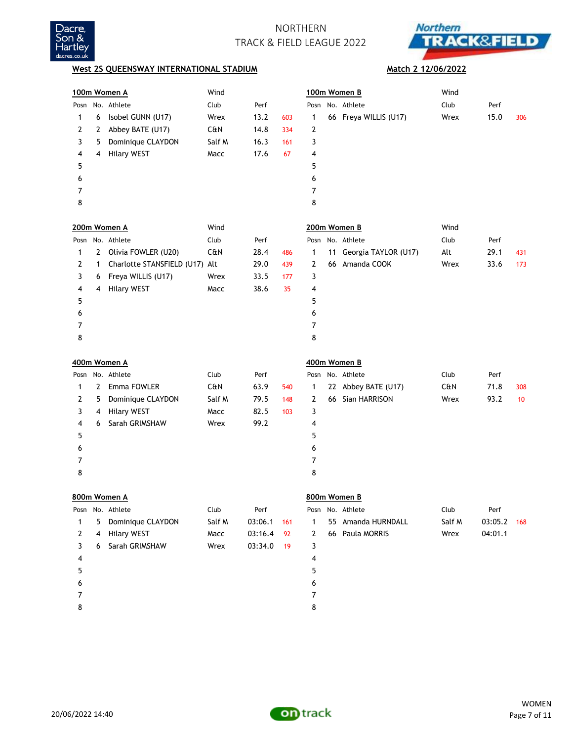



### **West 2S QUEENSWAY INTERNATIONAL STADIUM**

### **Match 2 12/06/2022**

|              |              | 100m Women A                   | Wind   |         |     |                |    | 100m Women B          | Wind   |         |     |
|--------------|--------------|--------------------------------|--------|---------|-----|----------------|----|-----------------------|--------|---------|-----|
|              |              | Posn No. Athlete               | Club   | Perf    |     | Posn           |    | No. Athlete           | Club   | Perf    |     |
| 1            | 6            | Isobel GUNN (U17)              | Wrex   | 13.2    | 603 | 1              |    | 66 Freya WILLIS (U17) | Wrex   | 15.0    | 306 |
| 2            | 2            | Abbey BATE (U17)               | C&N    | 14.8    | 334 | 2              |    |                       |        |         |     |
| 3            | 5            | Dominique CLAYDON              | Salf M | 16.3    | 161 | 3              |    |                       |        |         |     |
| 4            | 4            | <b>Hilary WEST</b>             | Macc   | 17.6    | 67  | 4              |    |                       |        |         |     |
| 5            |              |                                |        |         |     | 5              |    |                       |        |         |     |
| 6            |              |                                |        |         |     | 6              |    |                       |        |         |     |
| 7            |              |                                |        |         |     | 7              |    |                       |        |         |     |
| 8            |              |                                |        |         |     | 8              |    |                       |        |         |     |
|              |              | 200m Women A                   | Wind   |         |     |                |    | 200m Women B          | Wind   |         |     |
| Posn         |              | No. Athlete                    | Club   | Perf    |     | Posn           |    | No. Athlete           | Club   | Perf    |     |
| 1            | $\mathbf{2}$ | Olivia FOWLER (U20)            | C&N    | 28.4    | 486 | 1              | 11 | Georgia TAYLOR (U17)  | Alt    | 29.1    | 431 |
| 2            | 1            | Charlotte STANSFIELD (U17) Alt |        | 29.0    | 439 | 2              |    | 66 Amanda COOK        | Wrex   | 33.6    | 173 |
| 3            | 6            | Freya WILLIS (U17)             | Wrex   | 33.5    | 177 | 3              |    |                       |        |         |     |
| 4            | 4            | <b>Hilary WEST</b>             | Macc   | 38.6    | 35  | 4              |    |                       |        |         |     |
| 5            |              |                                |        |         |     | 5              |    |                       |        |         |     |
| 6            |              |                                |        |         |     | 6              |    |                       |        |         |     |
| 7            |              |                                |        |         |     | 7              |    |                       |        |         |     |
| 8            |              |                                |        |         |     | 8              |    |                       |        |         |     |
|              |              | 400m Women A                   |        |         |     |                |    | 400m Women B          |        |         |     |
|              |              | Posn No. Athlete               | Club   | Perf    |     | Posn           |    | No. Athlete           | Club   | Perf    |     |
| 1            |              | 2 Emma FOWLER                  | C&N    | 63.9    | 540 | 1              |    | 22 Abbey BATE (U17)   | C&N    | 71.8    | 308 |
| 2            | 5            | Dominique CLAYDON              | Salf M | 79.5    | 148 | $\overline{2}$ |    | 66 Sian HARRISON      | Wrex   | 93.2    | 10  |
| 3            | 4            | <b>Hilary WEST</b>             | Macc   | 82.5    | 103 | 3              |    |                       |        |         |     |
| 4            | 6            | Sarah GRIMSHAW                 | Wrex   | 99.2    |     | 4              |    |                       |        |         |     |
| 5            |              |                                |        |         |     | 5              |    |                       |        |         |     |
| 6            |              |                                |        |         |     | 6              |    |                       |        |         |     |
| 7            |              |                                |        |         |     | 7              |    |                       |        |         |     |
| 8            |              |                                |        |         |     | 8              |    |                       |        |         |     |
|              |              | 800m Women A                   |        |         |     |                |    | 800m Women B          |        |         |     |
| Posn         |              | No. Athlete                    | Club   | Perf    |     | Posn           |    | No. Athlete           | Club   | Perf    |     |
| $\mathbf{1}$ | 5            | Dominique CLAYDON              | Salf M | 03:06.1 | 161 | 1              | 55 | Amanda HURNDALL       | Salf M | 03:05.2 | 168 |
| 2            | 4            | <b>Hilary WEST</b>             | Macc   | 03:16.4 | 92  | 2              |    | 66 Paula MORRIS       | Wrex   | 04:01.1 |     |
| 3            | 6            | Sarah GRIMSHAW                 | Wrex   | 03:34.0 | 19  | 3              |    |                       |        |         |     |
| 4            |              |                                |        |         |     | 4              |    |                       |        |         |     |
| 5            |              |                                |        |         |     | 5              |    |                       |        |         |     |
| 6            |              |                                |        |         |     | 6              |    |                       |        |         |     |
| 7            |              |                                |        |         |     |                |    |                       |        |         |     |
|              |              |                                |        |         |     | 7              |    |                       |        |         |     |

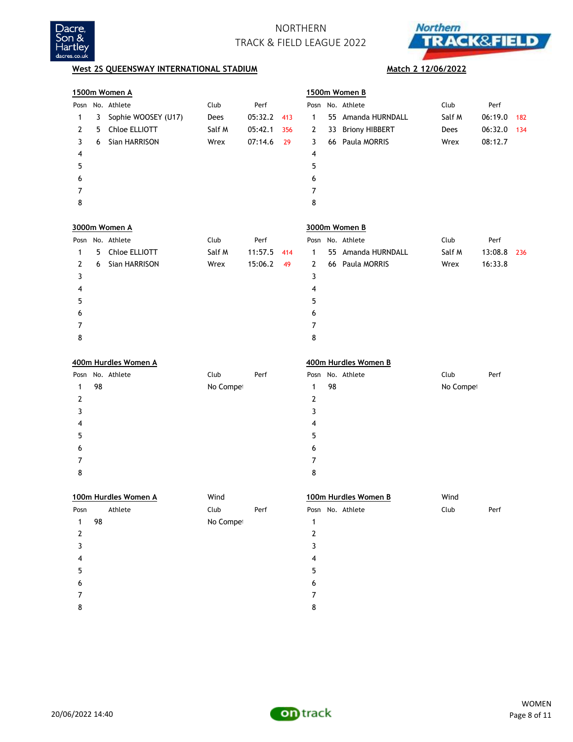



|                  |    | 1500m Women A        |           |         |     |                |    | 1500m Women B        |           |         |     |
|------------------|----|----------------------|-----------|---------|-----|----------------|----|----------------------|-----------|---------|-----|
|                  |    | Posn No. Athlete     | Club      | Perf    |     |                |    | Posn No. Athlete     | Club      | Perf    |     |
| 1                | 3  | Sophie WOOSEY (U17)  | Dees      | 05:32.2 | 413 | 1              |    | 55 Amanda HURNDALL   | Salf M    | 06:19.0 | 182 |
| 2                | 5  | Chloe ELLIOTT        | Salf M    | 05:42.1 | 356 | 2              |    | 33 Briony HIBBERT    | Dees      | 06:32.0 | 134 |
| 3                | 6  | Sian HARRISON        | Wrex      | 07:14.6 | 29  | 3              |    | 66 Paula MORRIS      | Wrex      | 08:12.7 |     |
| 4                |    |                      |           |         |     | 4              |    |                      |           |         |     |
| 5                |    |                      |           |         |     | 5              |    |                      |           |         |     |
| 6                |    |                      |           |         |     | 6              |    |                      |           |         |     |
| 7                |    |                      |           |         |     | 7              |    |                      |           |         |     |
| 8                |    |                      |           |         |     | 8              |    |                      |           |         |     |
|                  |    | 3000m Women A        |           |         |     |                |    | 3000m Women B        |           |         |     |
|                  |    | Posn No. Athlete     | Club      | Perf    |     |                |    | Posn No. Athlete     | Club      | Perf    |     |
| 1                | 5  | Chloe ELLIOTT        | Salf M    | 11:57.5 | 414 | $\mathbf{1}$   |    | 55 Amanda HURNDALL   | Salf M    | 13:08.8 | 236 |
| 2                | 6  | Sian HARRISON        | Wrex      | 15:06.2 | 49  | $\overline{2}$ |    | 66 Paula MORRIS      | Wrex      | 16:33.8 |     |
| 3                |    |                      |           |         |     | 3              |    |                      |           |         |     |
| 4                |    |                      |           |         |     | 4              |    |                      |           |         |     |
| 5                |    |                      |           |         |     | 5              |    |                      |           |         |     |
| 6                |    |                      |           |         |     | 6              |    |                      |           |         |     |
| 7                |    |                      |           |         |     | 7              |    |                      |           |         |     |
| 8                |    |                      |           |         |     | 8              |    |                      |           |         |     |
|                  |    | 400m Hurdles Women A |           |         |     |                |    | 400m Hurdles Women B |           |         |     |
| Posn             |    | No. Athlete          | Club      | Perf    |     |                |    | Posn No. Athlete     | Club      | Perf    |     |
| 1                | 98 |                      | No Compet |         |     | 1              | 98 |                      | No Compet |         |     |
| 2                |    |                      |           |         |     | 2              |    |                      |           |         |     |
| 3                |    |                      |           |         |     | 3              |    |                      |           |         |     |
| 4                |    |                      |           |         |     | 4              |    |                      |           |         |     |
| 5                |    |                      |           |         |     | 5              |    |                      |           |         |     |
| 6                |    |                      |           |         |     | 6              |    |                      |           |         |     |
| 7                |    |                      |           |         |     | 7              |    |                      |           |         |     |
| 8                |    |                      |           |         |     | 8              |    |                      |           |         |     |
|                  |    | 100m Hurdles Women A | Wind      |         |     |                |    | 100m Hurdles Women B | Wind      |         |     |
| Posn             |    | Athlete              | Club      | Perf    |     |                |    | Posn No. Athlete     | Club      | Perf    |     |
| $\mathbf{1}$     | 98 |                      | No Compet |         |     | $\mathbf{1}$   |    |                      |           |         |     |
| $\boldsymbol{2}$ |    |                      |           |         |     | $\mathbf{2}$   |    |                      |           |         |     |
| 3                |    |                      |           |         |     | 3              |    |                      |           |         |     |
| 4                |    |                      |           |         |     | 4              |    |                      |           |         |     |
| 5                |    |                      |           |         |     | 5              |    |                      |           |         |     |
| 6                |    |                      |           |         |     | 6              |    |                      |           |         |     |
| 7                |    |                      |           |         |     | 7              |    |                      |           |         |     |
| 8                |    |                      |           |         |     | 8              |    |                      |           |         |     |

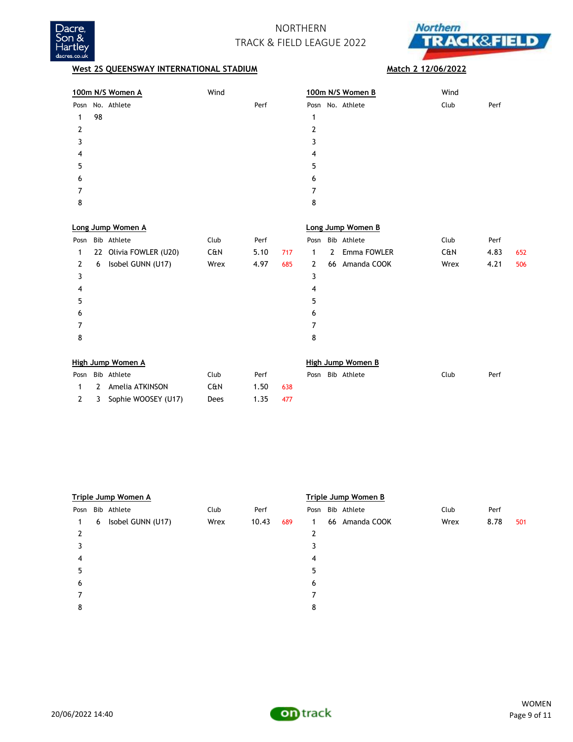



|          | 100m N/S Women A | Wind | 100m N/S Women B | Wind         |
|----------|------------------|------|------------------|--------------|
|          | Posn No. Athlete | Perf | Posn No. Athlete | Perf<br>Club |
| 98<br>1. |                  |      |                  |              |
|          |                  |      | 2                |              |
|          |                  |      |                  |              |
| 4        |                  |      | 4                |              |
| 5        |                  |      | 5                |              |
| 6        |                  |      | 6                |              |
|          |                  |      |                  |              |
| 8        |                  |      | 8                |              |

|      |   | Long Jump Women A      |      |      |     | Long Jump Women B |              |                  |      |      |     |  |
|------|---|------------------------|------|------|-----|-------------------|--------------|------------------|------|------|-----|--|
| Posn |   | Bib Athlete            | Club | Perf |     |                   |              | Posn Bib Athlete | Club | Perf |     |  |
| 1    |   | 22 Olivia FOWLER (U20) | C&N  | 5.10 | 717 | 1.                | $\mathbf{2}$ | Emma FOWLER      | C&N  | 4.83 | 652 |  |
| 2    | 6 | Isobel GUNN (U17)      | Wrex | 4.97 | 685 | $\mathbf{2}$      |              | 66 Amanda COOK   | Wrex | 4.21 | 506 |  |
| 3    |   |                        |      |      |     | 3                 |              |                  |      |      |     |  |
| 4    |   |                        |      |      |     | 4                 |              |                  |      |      |     |  |
| 5    |   |                        |      |      |     | 5                 |              |                  |      |      |     |  |
| 6    |   |                        |      |      |     | 6                 |              |                  |      |      |     |  |
|      |   |                        |      |      |     | 7                 |              |                  |      |      |     |  |
| 8    |   |                        |      |      |     | 8                 |              |                  |      |      |     |  |
|      |   |                        |      |      |     |                   |              |                  |      |      |     |  |

| High Jump Women A |  |                         |      |      |     |  | High Jump Women B |                  |      |      |  |  |  |
|-------------------|--|-------------------------|------|------|-----|--|-------------------|------------------|------|------|--|--|--|
|                   |  | Posn Bib Athlete        | Club | Perf |     |  |                   | Posn Bib Athlete | Club | Perf |  |  |  |
|                   |  | 1 2 Amelia ATKINSON     | C&N  | 1.50 | 638 |  |                   |                  |      |      |  |  |  |
|                   |  | 2 3 Sophie WOOSEY (U17) | Dees | 1.35 | 477 |  |                   |                  |      |      |  |  |  |

|      | Triple Jump Women A |                   |      |       |     |   | Triple Jump Women B |                  |      |      |     |  |  |
|------|---------------------|-------------------|------|-------|-----|---|---------------------|------------------|------|------|-----|--|--|
| Posn |                     | Bib Athlete       | Club | Perf  |     |   |                     | Posn Bib Athlete | Club | Perf |     |  |  |
| 1    | 6                   | Isobel GUNN (U17) | Wrex | 10.43 | 689 | 1 | 66                  | Amanda COOK      | Wrex | 8.78 | 501 |  |  |
| 2    |                     |                   |      |       |     | 2 |                     |                  |      |      |     |  |  |
|      |                     |                   |      |       |     |   |                     |                  |      |      |     |  |  |
| 4    |                     |                   |      |       |     | 4 |                     |                  |      |      |     |  |  |
| 5    |                     |                   |      |       |     | 5 |                     |                  |      |      |     |  |  |
| 6    |                     |                   |      |       |     | 6 |                     |                  |      |      |     |  |  |
|      |                     |                   |      |       |     |   |                     |                  |      |      |     |  |  |
| 8    |                     |                   |      |       |     | 8 |                     |                  |      |      |     |  |  |



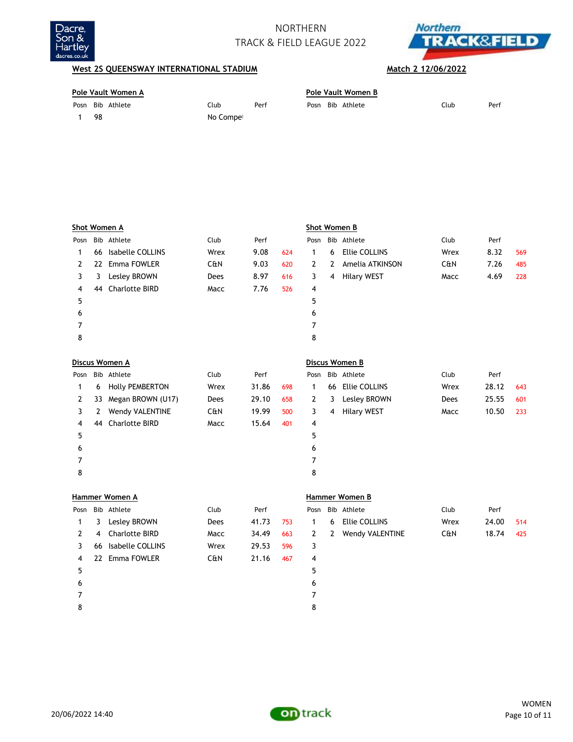



| Pole Vault Women A |                  |           |      |  |  | Pole Vault Women B |      |      |  |  |  |  |
|--------------------|------------------|-----------|------|--|--|--------------------|------|------|--|--|--|--|
|                    | Posn Bib Athlete | Club      | Perf |  |  | Posn Bib Athlete   | Club | Perf |  |  |  |  |
|                    | 98               | No Compet |      |  |  |                    |      |      |  |  |  |  |

|                | Shot Women A |                        |      |       |     |              | Shot Women B   |                      |      |       |     |  |  |
|----------------|--------------|------------------------|------|-------|-----|--------------|----------------|----------------------|------|-------|-----|--|--|
| Posn           |              | Bib Athlete            | Club | Perf  |     | Posn         |                | Bib Athlete          | Club | Perf  |     |  |  |
| 1              | 66           | Isabelle COLLINS       | Wrex | 9.08  | 624 | $\mathbf{1}$ | 6              | <b>Ellie COLLINS</b> | Wrex | 8.32  | 569 |  |  |
| 2              | 22           | Emma FOWLER            | C&N  | 9.03  | 620 | $\mathbf{2}$ | $\mathbf{2}$   | Amelia ATKINSON      | C&N  | 7.26  | 485 |  |  |
| 3              | 3            | Lesley BROWN           | Dees | 8.97  | 616 | 3            | $\overline{4}$ | <b>Hilary WEST</b>   | Macc | 4.69  | 228 |  |  |
| 4              | 44           | <b>Charlotte BIRD</b>  | Macc | 7.76  | 526 | 4            |                |                      |      |       |     |  |  |
| 5              |              |                        |      |       |     | 5            |                |                      |      |       |     |  |  |
| 6              |              |                        |      |       |     | 6            |                |                      |      |       |     |  |  |
| 7              |              |                        |      |       |     | 7            |                |                      |      |       |     |  |  |
| 8              |              |                        |      |       |     | 8            |                |                      |      |       |     |  |  |
|                |              |                        |      |       |     |              |                |                      |      |       |     |  |  |
|                |              |                        |      |       |     |              |                |                      |      |       |     |  |  |
|                |              | Discus Women A         |      |       |     |              |                | Discus Women B       |      |       |     |  |  |
| Posn           |              | Bib Athlete            | Club | Perf  |     | Posn         |                | Bib Athlete          | Club | Perf  |     |  |  |
| 1              | 6            | <b>Holly PEMBERTON</b> | Wrex | 31.86 | 698 | $\mathbf{1}$ | 66             | Ellie COLLINS        | Wrex | 28.12 | 643 |  |  |
| $\overline{2}$ | 33           | Megan BROWN (U17)      | Dees | 29.10 | 658 | $\mathbf{2}$ | 3              | Lesley BROWN         | Dees | 25.55 | 601 |  |  |
| 3              | $\mathbf{2}$ | Wendy VALENTINE        | C&N  | 19.99 | 500 | 3            | 4              | <b>Hilary WEST</b>   | Macc | 10.50 | 233 |  |  |
| 4              | 44           | <b>Charlotte BIRD</b>  | Macc | 15.64 | 401 | 4            |                |                      |      |       |     |  |  |
| 5              |              |                        |      |       |     | 5            |                |                      |      |       |     |  |  |
| 6              |              |                        |      |       |     | 6            |                |                      |      |       |     |  |  |
| 7              |              |                        |      |       |     | 7            |                |                      |      |       |     |  |  |
| 8              |              |                        |      |       |     | 8            |                |                      |      |       |     |  |  |

|      | Hammer Women A |                       |                |       |     |              | Hammer Women B |                        |      |       |     |  |  |
|------|----------------|-----------------------|----------------|-------|-----|--------------|----------------|------------------------|------|-------|-----|--|--|
| Posn |                | Bib Athlete           | Club           | Perf  |     | Posn         |                | Bib Athlete            | Club | Perf  |     |  |  |
|      | 3              | Lesley BROWN          | Dees           | 41.73 | 753 | 1.           | 6              | Ellie COLLINS          | Wrex | 24.00 | 514 |  |  |
| 2    | 4              | <b>Charlotte BIRD</b> | Macc           | 34.49 | 663 | $\mathbf{2}$ | 2              | <b>Wendy VALENTINE</b> | C&N  | 18.74 | 425 |  |  |
| 3    | 66             | Isabelle COLLINS      | Wrex           | 29.53 | 596 | 3            |                |                        |      |       |     |  |  |
| 4    |                | 22 Emma FOWLER        | <b>C&amp;N</b> | 21.16 | 467 | 4            |                |                        |      |       |     |  |  |
| 5    |                |                       |                |       |     | 5            |                |                        |      |       |     |  |  |
| 6    |                |                       |                |       |     | 6            |                |                        |      |       |     |  |  |
| 7    |                |                       |                |       |     | 7            |                |                        |      |       |     |  |  |
| 8    |                |                       |                |       |     | 8            |                |                        |      |       |     |  |  |